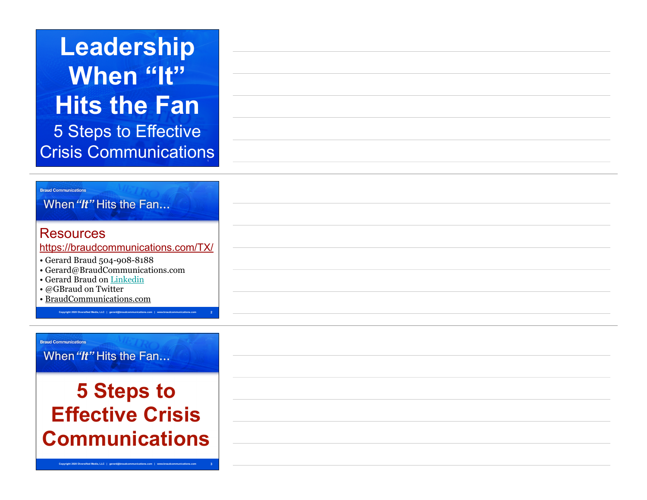# 5 Steps to Effective Crisis Communications **Leadership When "It" Hits the Fan**

#### **Braud Communications**

When "It" Hits the Fan...

### Resources

https://braudcommunications.com/TX/

**Copyright 2020 Diversified Media, LLC | gerard@braudcommunications.com | www.braudcommunications.com**

**2**

- Gerard Braud 504-908-8188
- Gerard@BraudCommunications.com
- Gerard Braud on Linkedin
- @GBraud on Twitter
- BraudCommunications.com

#### **Braud Communications**

When "It" Hits the Fan...

## **5 Steps to Effective Crisis Communications**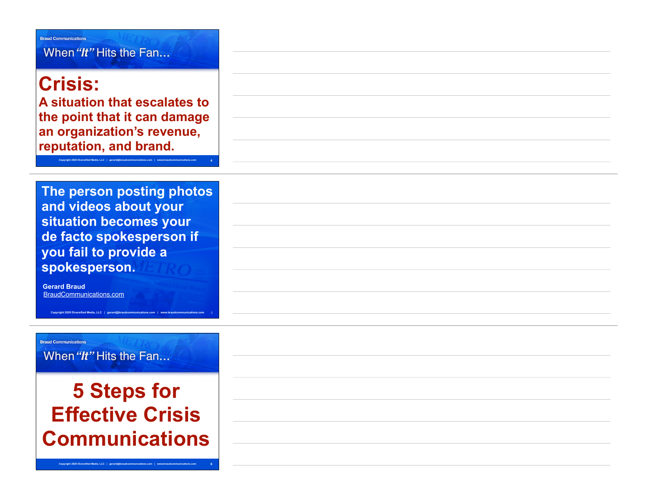When "It" Hits the Fan...

## **Crisis:**

**Braud Communications** 

**A situation that escalates to the point that it can damage an organization's revenue, reputation, and brand.**

**Copyright 2020 Diversified Media, LLC | gerard@braudcommunications.com | www.braudcommunications.com 4**

**The person posting photos and videos about your situation becomes your de facto spokesperson if you fail to provide a spokesperson.** 

**Copyright 2020 Diversified Media, LLC | gerard@braudcommunications.com | www.braudcommunications.com** 5

**Gerard Braud**  BraudCommunications.com

**Braud Communications** When "It" Hits the Fan...

**5 Steps for Effective Crisis Communications**

**Copyright 2020 Diversified Media, LLC | gerard@braudcommunications.com**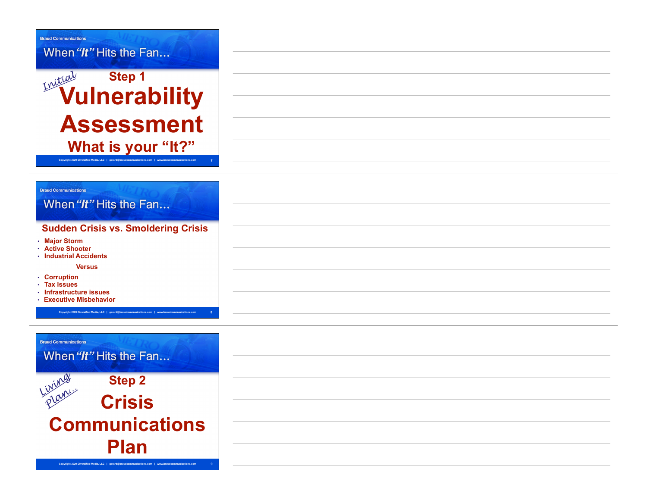

#### **Braud Communications**

### When "It" Hits the Fan... **Sudden Crisis vs. Smoldering Crisis**

**Copyright 2020 Diversified Media, LLC | gerard@braudcommunications.com | www.braudcommunications.com 8**

• **Major Storm** 

• **Active Shooter** 

• **Industrial Accidents** 

 **Versus** 

- **Corruption**
- **Tax issues**
- **Infrastructure issues**
- **Executive Misbehavior**

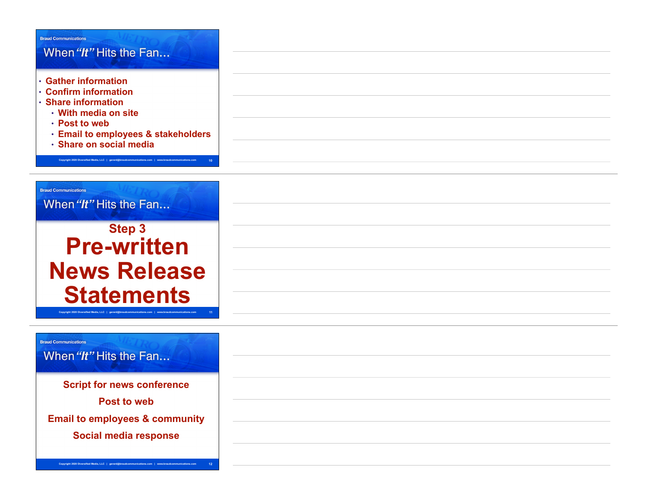### **Braud Communications** When "It" Hits the Fan... • **Gather information**  • **Confirm information**  • **Share information**  • **With media on site**  • **Post to web**  • **Email to employees & stakeholders**  • **Share on social media Copyright 2020 Diversified Media, LLC | gerard@braudcommunications.com | www.braudcommunications.com 10 Braud Communications** When "It" Hits the Fan... **Step 3 Pre-written News Release Statements Copyright 2020 Diversified Media, LLC | gerard@braudcommunications.com | www.braudcommunications.com 11 Braud Communications** When "It" Hits the Fan...

**Script for news conference Post to web Email to employees & community Social media response**

**Copyright 2020 Diversified Media, LLC | gerard@braudcommunications.com | www.braudcommunications.com 12**